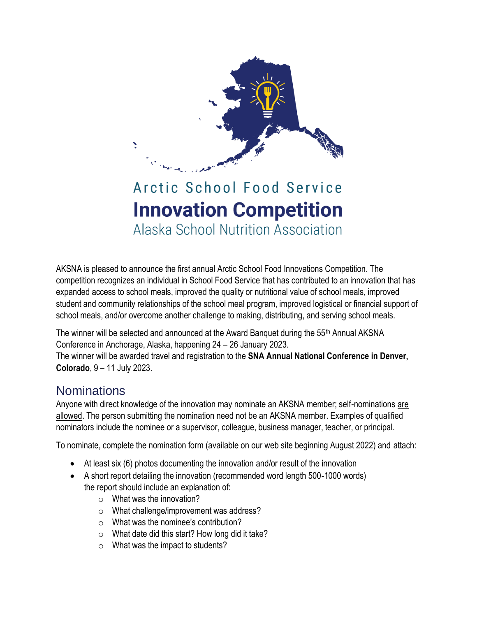

# Arctic School Food Service **Innovation Competition** Alaska School Nutrition Association

AKSNA is pleased to announce the first annual Arctic School Food Innovations Competition. The competition recognizes an individual in School Food Service that has contributed to an innovation that has expanded access to school meals, improved the quality or nutritional value of school meals, improved student and community relationships of the school meal program, improved logistical or financial support of school meals, and/or overcome another challenge to making, distributing, and serving school meals.

The winner will be selected and announced at the Award Banquet during the 55th Annual AKSNA Conference in Anchorage, Alaska, happening 24 – 26 January 2023. The winner will be awarded travel and registration to the **SNA Annual National Conference in Denver, Colorado**, 9 – 11 July 2023.

## **Nominations**

Anyone with direct knowledge of the innovation may nominate an AKSNA member; self-nominations are allowed. The person submitting the nomination need not be an AKSNA member. Examples of qualified nominators include the nominee or a supervisor, colleague, business manager, teacher, or principal.

To nominate, complete the nomination form (available on our web site beginning August 2022) and attach:

- At least six (6) photos documenting the innovation and/or result of the innovation
- A short report detailing the innovation (recommended word length 500-1000 words) the report should include an explanation of:
	- $\circ$  What was the innovation?
	- o What challenge/improvement was address?
	- o What was the nominee's contribution?
	- $\circ$  What date did this start? How long did it take?
	- o What was the impact to students?